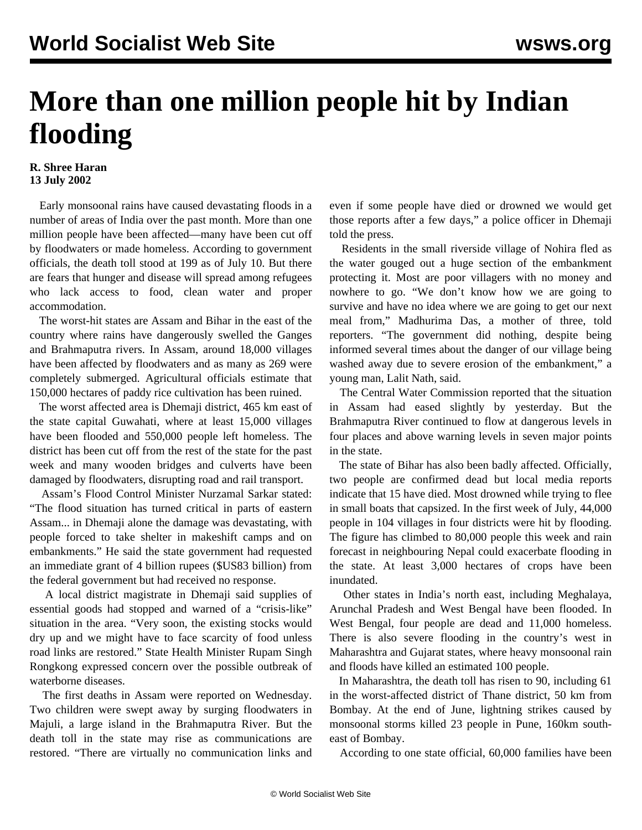## **More than one million people hit by Indian flooding**

## **R. Shree Haran 13 July 2002**

 Early monsoonal rains have caused devastating floods in a number of areas of India over the past month. More than one million people have been affected—many have been cut off by floodwaters or made homeless. According to government officials, the death toll stood at 199 as of July 10. But there are fears that hunger and disease will spread among refugees who lack access to food, clean water and proper accommodation.

 The worst-hit states are Assam and Bihar in the east of the country where rains have dangerously swelled the Ganges and Brahmaputra rivers. In Assam, around 18,000 villages have been affected by floodwaters and as many as 269 were completely submerged. Agricultural officials estimate that 150,000 hectares of paddy rice cultivation has been ruined.

 The worst affected area is Dhemaji district, 465 km east of the state capital Guwahati, where at least 15,000 villages have been flooded and 550,000 people left homeless. The district has been cut off from the rest of the state for the past week and many wooden bridges and culverts have been damaged by floodwaters, disrupting road and rail transport.

 Assam's Flood Control Minister Nurzamal Sarkar stated: "The flood situation has turned critical in parts of eastern Assam... in Dhemaji alone the damage was devastating, with people forced to take shelter in makeshift camps and on embankments." He said the state government had requested an immediate grant of 4 billion rupees (\$US83 billion) from the federal government but had received no response.

 A local district magistrate in Dhemaji said supplies of essential goods had stopped and warned of a "crisis-like" situation in the area. "Very soon, the existing stocks would dry up and we might have to face scarcity of food unless road links are restored." State Health Minister Rupam Singh Rongkong expressed concern over the possible outbreak of waterborne diseases.

 The first deaths in Assam were reported on Wednesday. Two children were swept away by surging floodwaters in Majuli, a large island in the Brahmaputra River. But the death toll in the state may rise as communications are restored. "There are virtually no communication links and even if some people have died or drowned we would get those reports after a few days," a police officer in Dhemaji told the press.

 Residents in the small riverside village of Nohira fled as the water gouged out a huge section of the embankment protecting it. Most are poor villagers with no money and nowhere to go. "We don't know how we are going to survive and have no idea where we are going to get our next meal from," Madhurima Das, a mother of three, told reporters. "The government did nothing, despite being informed several times about the danger of our village being washed away due to severe erosion of the embankment," a young man, Lalit Nath, said.

 The Central Water Commission reported that the situation in Assam had eased slightly by yesterday. But the Brahmaputra River continued to flow at dangerous levels in four places and above warning levels in seven major points in the state.

 The state of Bihar has also been badly affected. Officially, two people are confirmed dead but local media reports indicate that 15 have died. Most drowned while trying to flee in small boats that capsized. In the first week of July, 44,000 people in 104 villages in four districts were hit by flooding. The figure has climbed to 80,000 people this week and rain forecast in neighbouring Nepal could exacerbate flooding in the state. At least 3,000 hectares of crops have been inundated.

 Other states in India's north east, including Meghalaya, Arunchal Pradesh and West Bengal have been flooded. In West Bengal, four people are dead and 11,000 homeless. There is also severe flooding in the country's west in Maharashtra and Gujarat states, where heavy monsoonal rain and floods have killed an estimated 100 people.

 In Maharashtra, the death toll has risen to 90, including 61 in the worst-affected district of Thane district, 50 km from Bombay. At the end of June, lightning strikes caused by monsoonal storms killed 23 people in Pune, 160km southeast of Bombay.

According to one state official, 60,000 families have been